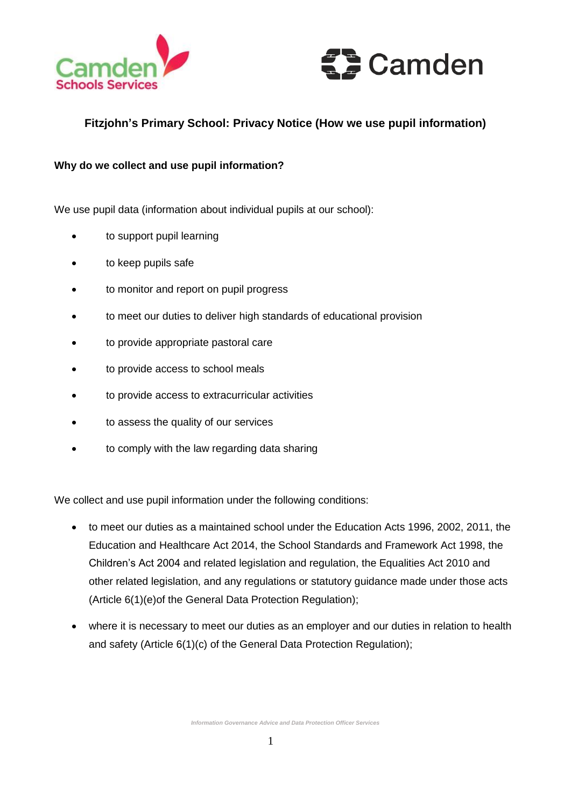



# **Fitzjohn's Primary School: Privacy Notice (How we use pupil information)**

# **Why do we collect and use pupil information?**

We use pupil data (information about individual pupils at our school):

- to support pupil learning
- to keep pupils safe
- to monitor and report on pupil progress
- to meet our duties to deliver high standards of educational provision
- to provide appropriate pastoral care
- to provide access to school meals
- to provide access to extracurricular activities
- to assess the quality of our services
- to comply with the law regarding data sharing

We collect and use pupil information under the following conditions:

- to meet our duties as a maintained school under the Education Acts 1996, 2002, 2011, the Education and Healthcare Act 2014, the School Standards and Framework Act 1998, the Children's Act 2004 and related legislation and regulation, the Equalities Act 2010 and other related legislation, and any regulations or statutory guidance made under those acts (Article 6(1)(e)of the General Data Protection Regulation);
- where it is necessary to meet our duties as an employer and our duties in relation to health and safety (Article 6(1)(c) of the General Data Protection Regulation);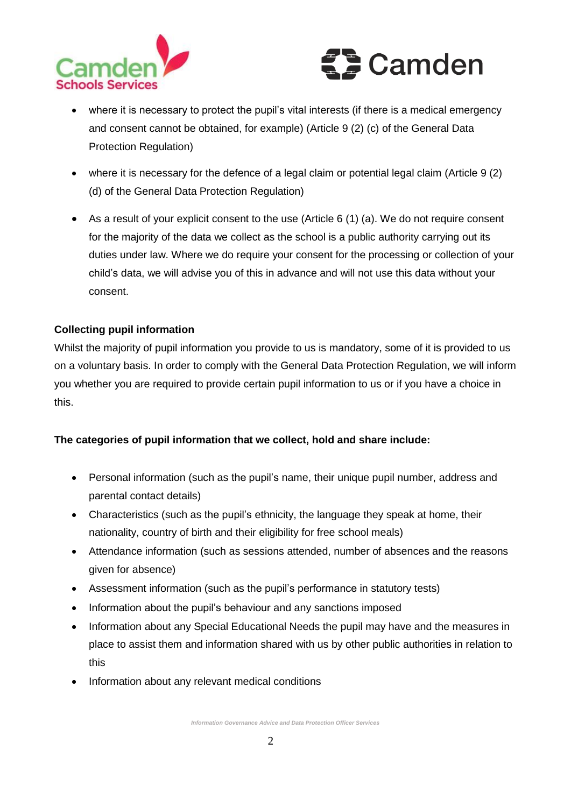



- where it is necessary to protect the pupil's vital interests (if there is a medical emergency and consent cannot be obtained, for example) (Article 9 (2) (c) of the General Data Protection Regulation)
- where it is necessary for the defence of a legal claim or potential legal claim (Article 9 (2) (d) of the General Data Protection Regulation)
- As a result of your explicit consent to the use (Article 6 (1) (a). We do not require consent for the majority of the data we collect as the school is a public authority carrying out its duties under law. Where we do require your consent for the processing or collection of your child's data, we will advise you of this in advance and will not use this data without your consent.

# **Collecting pupil information**

Whilst the majority of pupil information you provide to us is mandatory, some of it is provided to us on a voluntary basis. In order to comply with the General Data Protection Regulation, we will inform you whether you are required to provide certain pupil information to us or if you have a choice in this.

# **The categories of pupil information that we collect, hold and share include:**

- Personal information (such as the pupil's name, their unique pupil number, address and parental contact details)
- Characteristics (such as the pupil's ethnicity, the language they speak at home, their nationality, country of birth and their eligibility for free school meals)
- Attendance information (such as sessions attended, number of absences and the reasons given for absence)
- Assessment information (such as the pupil's performance in statutory tests)
- Information about the pupil's behaviour and any sanctions imposed
- Information about any Special Educational Needs the pupil may have and the measures in place to assist them and information shared with us by other public authorities in relation to this
- Information about any relevant medical conditions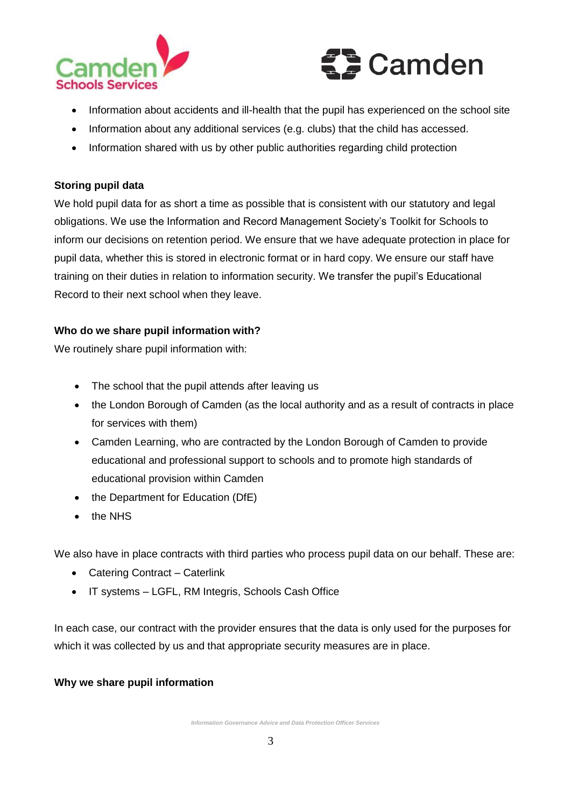



- Information about accidents and ill-health that the pupil has experienced on the school site
- Information about any additional services (e.g. clubs) that the child has accessed.
- Information shared with us by other public authorities regarding child protection

# **Storing pupil data**

We hold pupil data for as short a time as possible that is consistent with our statutory and legal obligations. We use the Information and Record Management Society's Toolkit for Schools to inform our decisions on retention period. We ensure that we have adequate protection in place for pupil data, whether this is stored in electronic format or in hard copy. We ensure our staff have training on their duties in relation to information security. We transfer the pupil's Educational Record to their next school when they leave.

# **Who do we share pupil information with?**

We routinely share pupil information with:

- The school that the pupil attends after leaving us
- the London Borough of Camden (as the local authority and as a result of contracts in place for services with them)
- Camden Learning, who are contracted by the London Borough of Camden to provide educational and professional support to schools and to promote high standards of educational provision within Camden
- the Department for Education (DfE)
- the NHS

We also have in place contracts with third parties who process pupil data on our behalf. These are:

- Catering Contract Caterlink
- IT systems LGFL, RM Integris, Schools Cash Office

In each case, our contract with the provider ensures that the data is only used for the purposes for which it was collected by us and that appropriate security measures are in place.

# **Why we share pupil information**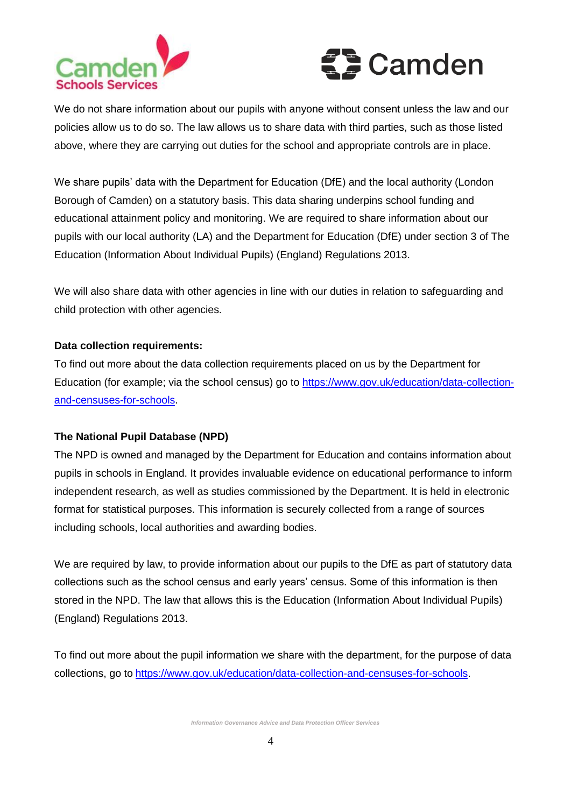



We do not share information about our pupils with anyone without consent unless the law and our policies allow us to do so. The law allows us to share data with third parties, such as those listed above, where they are carrying out duties for the school and appropriate controls are in place.

We share pupils' data with the Department for Education (DfE) and the local authority (London Borough of Camden) on a statutory basis. This data sharing underpins school funding and educational attainment policy and monitoring. We are required to share information about our pupils with our local authority (LA) and the Department for Education (DfE) under section 3 of The Education (Information About Individual Pupils) (England) Regulations 2013.

We will also share data with other agencies in line with our duties in relation to safeguarding and child protection with other agencies.

#### **Data collection requirements:**

To find out more about the data collection requirements placed on us by the Department for Education (for example; via the school census) go to [https://www.gov.uk/education/data-collection](https://www.gov.uk/education/data-collection-and-censuses-for-schools)[and-censuses-for-schools.](https://www.gov.uk/education/data-collection-and-censuses-for-schools)

#### **The National Pupil Database (NPD)**

The NPD is owned and managed by the Department for Education and contains information about pupils in schools in England. It provides invaluable evidence on educational performance to inform independent research, as well as studies commissioned by the Department. It is held in electronic format for statistical purposes. This information is securely collected from a range of sources including schools, local authorities and awarding bodies.

We are required by law, to provide information about our pupils to the DfE as part of statutory data collections such as the school census and early years' census. Some of this information is then stored in the NPD. The law that allows this is the Education (Information About Individual Pupils) (England) Regulations 2013.

To find out more about the pupil information we share with the department, for the purpose of data collections, go to [https://www.gov.uk/education/data-collection-and-censuses-for-schools.](https://www.gov.uk/education/data-collection-and-censuses-for-schools)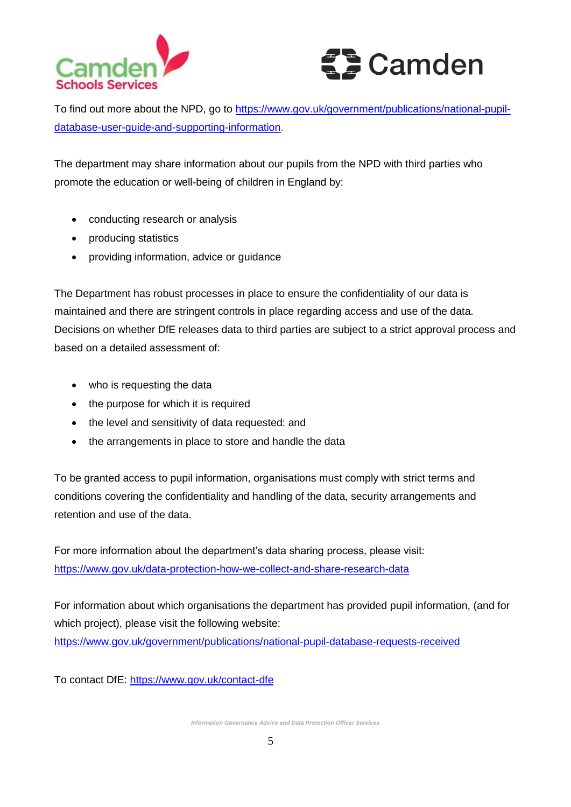



To find out more about the NPD, go to [https://www.gov.uk/government/publications/national-pupil](https://www.gov.uk/government/publications/national-pupil-database-user-guide-and-supporting-information)[database-user-guide-and-supporting-information.](https://www.gov.uk/government/publications/national-pupil-database-user-guide-and-supporting-information)

The department may share information about our pupils from the NPD with third parties who promote the education or well-being of children in England by:

- conducting research or analysis
- producing statistics
- providing information, advice or guidance

The Department has robust processes in place to ensure the confidentiality of our data is maintained and there are stringent controls in place regarding access and use of the data. Decisions on whether DfE releases data to third parties are subject to a strict approval process and based on a detailed assessment of:

- who is requesting the data
- the purpose for which it is required
- the level and sensitivity of data requested: and
- the arrangements in place to store and handle the data

To be granted access to pupil information, organisations must comply with strict terms and conditions covering the confidentiality and handling of the data, security arrangements and retention and use of the data.

For more information about the department's data sharing process, please visit: <https://www.gov.uk/data-protection-how-we-collect-and-share-research-data>

For information about which organisations the department has provided pupil information, (and for which project), please visit the following website: <https://www.gov.uk/government/publications/national-pupil-database-requests-received>

To contact DfE:<https://www.gov.uk/contact-dfe>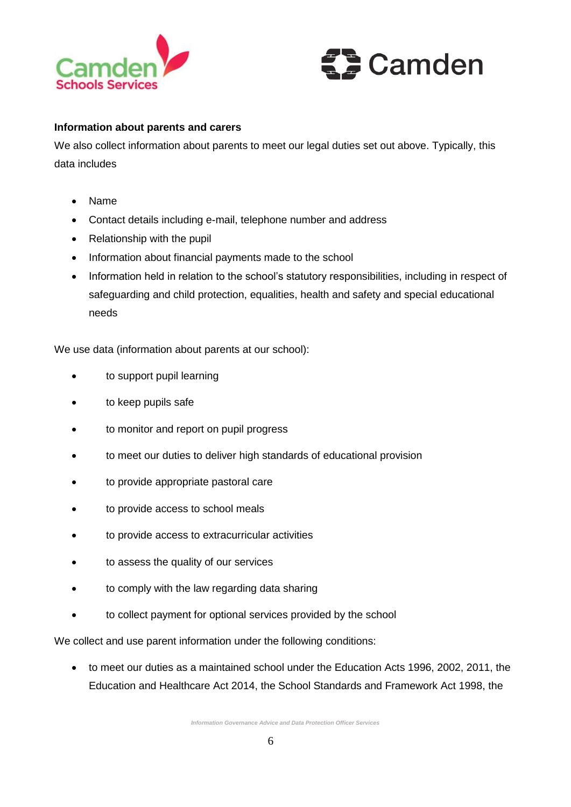



#### **Information about parents and carers**

We also collect information about parents to meet our legal duties set out above. Typically, this data includes

- Name
- Contact details including e-mail, telephone number and address
- Relationship with the pupil
- Information about financial payments made to the school
- Information held in relation to the school's statutory responsibilities, including in respect of safeguarding and child protection, equalities, health and safety and special educational needs

We use data (information about parents at our school):

- to support pupil learning
- to keep pupils safe
- to monitor and report on pupil progress
- to meet our duties to deliver high standards of educational provision
- to provide appropriate pastoral care
- to provide access to school meals
- to provide access to extracurricular activities
- to assess the quality of our services
- to comply with the law regarding data sharing
- to collect payment for optional services provided by the school

We collect and use parent information under the following conditions:

 to meet our duties as a maintained school under the Education Acts 1996, 2002, 2011, the Education and Healthcare Act 2014, the School Standards and Framework Act 1998, the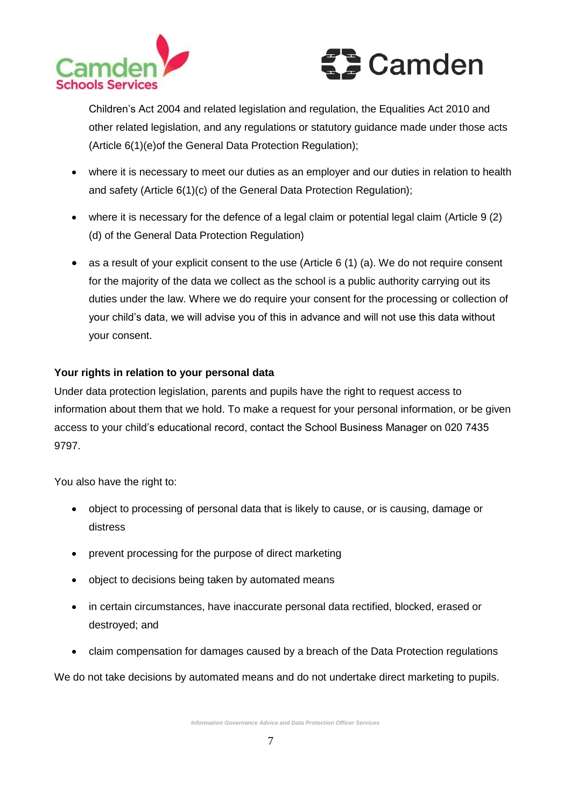



Children's Act 2004 and related legislation and regulation, the Equalities Act 2010 and other related legislation, and any regulations or statutory guidance made under those acts (Article 6(1)(e)of the General Data Protection Regulation);

- where it is necessary to meet our duties as an employer and our duties in relation to health and safety (Article 6(1)(c) of the General Data Protection Regulation);
- where it is necessary for the defence of a legal claim or potential legal claim (Article 9 (2) (d) of the General Data Protection Regulation)
- as a result of your explicit consent to the use (Article 6 (1) (a). We do not require consent for the majority of the data we collect as the school is a public authority carrying out its duties under the law. Where we do require your consent for the processing or collection of your child's data, we will advise you of this in advance and will not use this data without your consent.

# **Your rights in relation to your personal data**

Under data protection legislation, parents and pupils have the right to request access to information about them that we hold. To make a request for your personal information, or be given access to your child's educational record, contact the School Business Manager on 020 7435 9797.

You also have the right to:

- object to processing of personal data that is likely to cause, or is causing, damage or distress
- prevent processing for the purpose of direct marketing
- object to decisions being taken by automated means
- in certain circumstances, have inaccurate personal data rectified, blocked, erased or destroyed; and
- claim compensation for damages caused by a breach of the Data Protection regulations

We do not take decisions by automated means and do not undertake direct marketing to pupils.